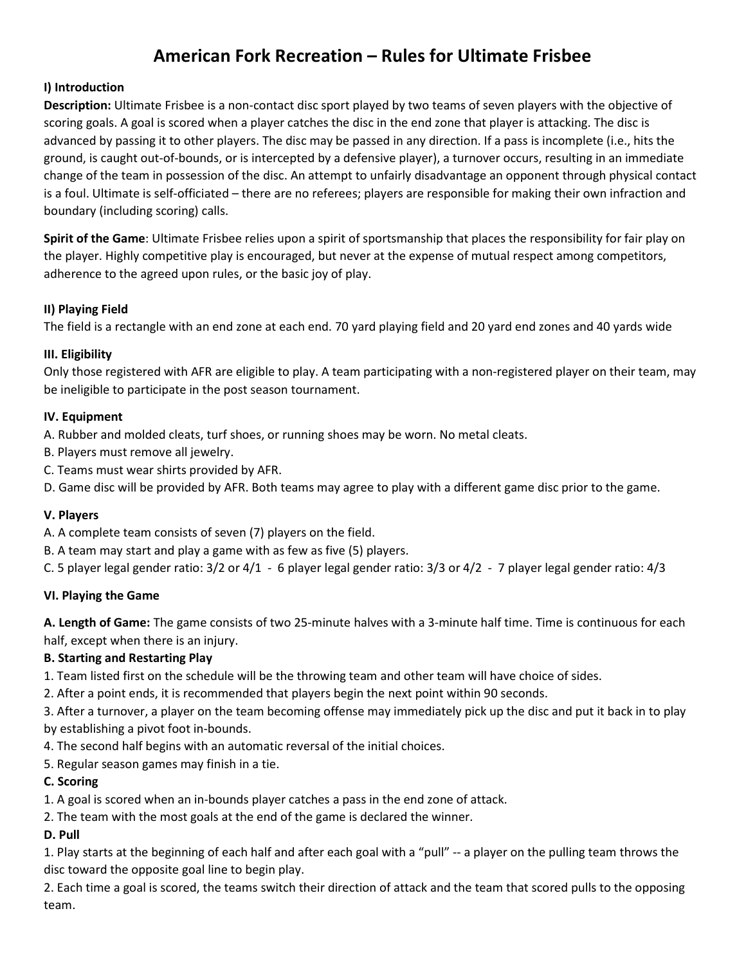# American Fork Recreation – Rules for Ultimate Frisbee

## I) Introduction

Description: Ultimate Frisbee is a non-contact disc sport played by two teams of seven players with the objective of scoring goals. A goal is scored when a player catches the disc in the end zone that player is attacking. The disc is advanced by passing it to other players. The disc may be passed in any direction. If a pass is incomplete (i.e., hits the ground, is caught out-of-bounds, or is intercepted by a defensive player), a turnover occurs, resulting in an immediate change of the team in possession of the disc. An attempt to unfairly disadvantage an opponent through physical contact is a foul. Ultimate is self-officiated – there are no referees; players are responsible for making their own infraction and boundary (including scoring) calls.

Spirit of the Game: Ultimate Frisbee relies upon a spirit of sportsmanship that places the responsibility for fair play on the player. Highly competitive play is encouraged, but never at the expense of mutual respect among competitors, adherence to the agreed upon rules, or the basic joy of play.

## II) Playing Field

The field is a rectangle with an end zone at each end. 70 yard playing field and 20 yard end zones and 40 yards wide

### III. Eligibility

Only those registered with AFR are eligible to play. A team participating with a non-registered player on their team, may be ineligible to participate in the post season tournament.

### IV. Equipment

A. Rubber and molded cleats, turf shoes, or running shoes may be worn. No metal cleats.

- B. Players must remove all jewelry.
- C. Teams must wear shirts provided by AFR.
- D. Game disc will be provided by AFR. Both teams may agree to play with a different game disc prior to the game.

#### V. Players

- A. A complete team consists of seven (7) players on the field.
- B. A team may start and play a game with as few as five (5) players.
- C. 5 player legal gender ratio: 3/2 or 4/1 6 player legal gender ratio: 3/3 or 4/2 7 player legal gender ratio: 4/3

#### VI. Playing the Game

A. Length of Game: The game consists of two 25-minute halves with a 3-minute half time. Time is continuous for each half, except when there is an injury.

## B. Starting and Restarting Play

- 1. Team listed first on the schedule will be the throwing team and other team will have choice of sides.
- 2. After a point ends, it is recommended that players begin the next point within 90 seconds.
- 3. After a turnover, a player on the team becoming offense may immediately pick up the disc and put it back in to play by establishing a pivot foot in-bounds.
- 4. The second half begins with an automatic reversal of the initial choices.
- 5. Regular season games may finish in a tie.

#### C. Scoring

- 1. A goal is scored when an in-bounds player catches a pass in the end zone of attack.
- 2. The team with the most goals at the end of the game is declared the winner.

## D. Pull

1. Play starts at the beginning of each half and after each goal with a "pull" -- a player on the pulling team throws the disc toward the opposite goal line to begin play.

2. Each time a goal is scored, the teams switch their direction of attack and the team that scored pulls to the opposing team.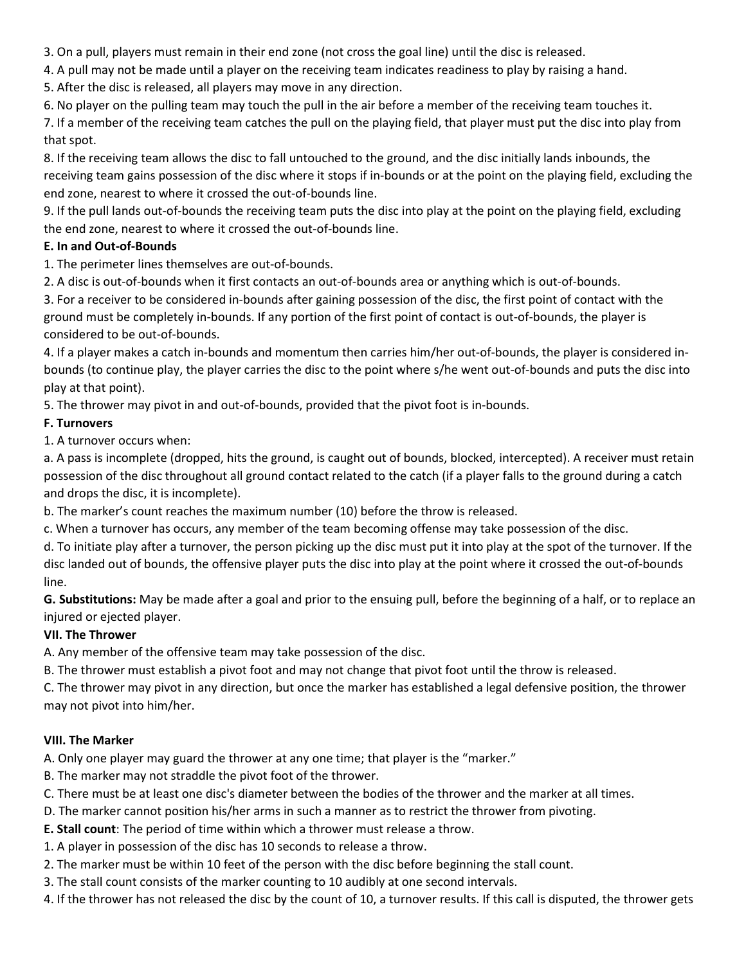3. On a pull, players must remain in their end zone (not cross the goal line) until the disc is released.

4. A pull may not be made until a player on the receiving team indicates readiness to play by raising a hand.

5. After the disc is released, all players may move in any direction.

6. No player on the pulling team may touch the pull in the air before a member of the receiving team touches it.

7. If a member of the receiving team catches the pull on the playing field, that player must put the disc into play from that spot.

8. If the receiving team allows the disc to fall untouched to the ground, and the disc initially lands inbounds, the receiving team gains possession of the disc where it stops if in-bounds or at the point on the playing field, excluding the end zone, nearest to where it crossed the out-of-bounds line.

9. If the pull lands out-of-bounds the receiving team puts the disc into play at the point on the playing field, excluding the end zone, nearest to where it crossed the out-of-bounds line.

## E. In and Out-of-Bounds

1. The perimeter lines themselves are out-of-bounds.

2. A disc is out-of-bounds when it first contacts an out-of-bounds area or anything which is out-of-bounds.

3. For a receiver to be considered in-bounds after gaining possession of the disc, the first point of contact with the ground must be completely in-bounds. If any portion of the first point of contact is out-of-bounds, the player is considered to be out-of-bounds.

4. If a player makes a catch in-bounds and momentum then carries him/her out-of-bounds, the player is considered inbounds (to continue play, the player carries the disc to the point where s/he went out-of-bounds and puts the disc into play at that point).

5. The thrower may pivot in and out-of-bounds, provided that the pivot foot is in-bounds.

## F. Turnovers

1. A turnover occurs when:

a. A pass is incomplete (dropped, hits the ground, is caught out of bounds, blocked, intercepted). A receiver must retain possession of the disc throughout all ground contact related to the catch (if a player falls to the ground during a catch and drops the disc, it is incomplete).

b. The marker's count reaches the maximum number (10) before the throw is released.

c. When a turnover has occurs, any member of the team becoming offense may take possession of the disc.

d. To initiate play after a turnover, the person picking up the disc must put it into play at the spot of the turnover. If the disc landed out of bounds, the offensive player puts the disc into play at the point where it crossed the out-of-bounds line.

G. Substitutions: May be made after a goal and prior to the ensuing pull, before the beginning of a half, or to replace an injured or ejected player.

# VII. The Thrower

A. Any member of the offensive team may take possession of the disc.

B. The thrower must establish a pivot foot and may not change that pivot foot until the throw is released.

C. The thrower may pivot in any direction, but once the marker has established a legal defensive position, the thrower may not pivot into him/her.

# VIII. The Marker

A. Only one player may guard the thrower at any one time; that player is the "marker."

- B. The marker may not straddle the pivot foot of the thrower.
- C. There must be at least one disc's diameter between the bodies of the thrower and the marker at all times.
- D. The marker cannot position his/her arms in such a manner as to restrict the thrower from pivoting.
- E. Stall count: The period of time within which a thrower must release a throw.
- 1. A player in possession of the disc has 10 seconds to release a throw.
- 2. The marker must be within 10 feet of the person with the disc before beginning the stall count.
- 3. The stall count consists of the marker counting to 10 audibly at one second intervals.
- 4. If the thrower has not released the disc by the count of 10, a turnover results. If this call is disputed, the thrower gets